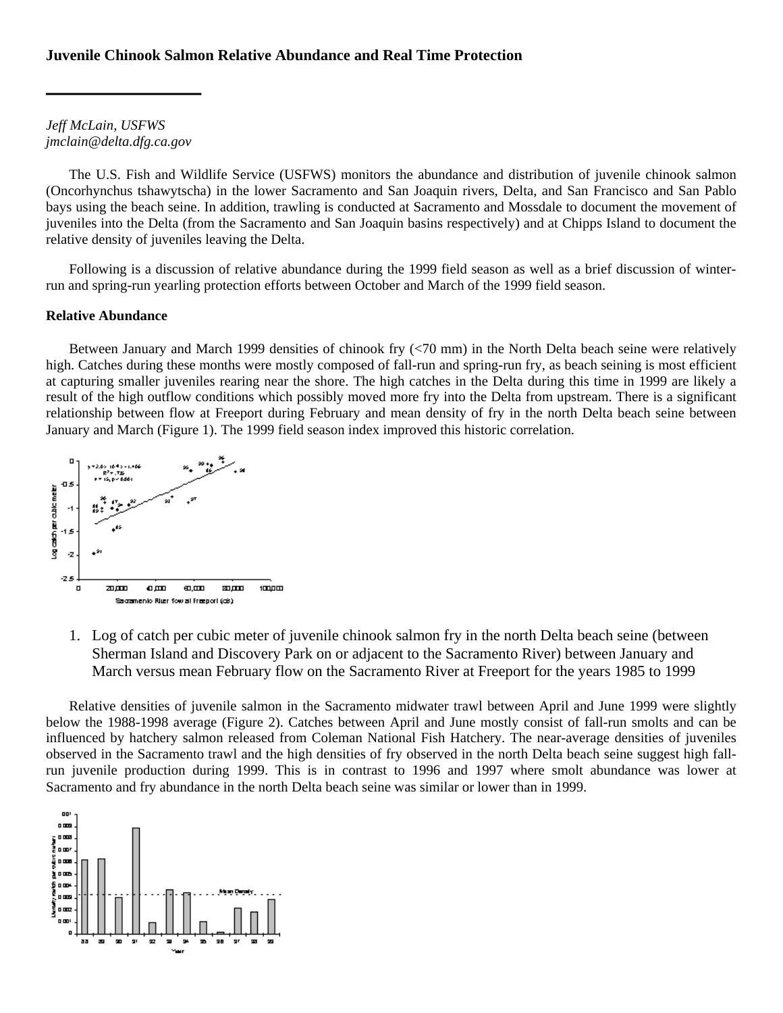*Jeff McLain, USFWS jmclain@delta.dfg.ca.gov* 

The U.S. Fish and Wildlife Service (USFWS) monitors the abundance and distribution of juvenile chinook salmon (Oncorhynchus tshawytscha) in the lower Sacramento and San Joaquin rivers, Delta, and San Francisco and San Pablo bays using the beach seine. In addition, trawling is conducted at Sacramento and Mossdale to document the movement of juveniles into the Delta (from the Sacramento and San Joaquin basins respectively) and at Chipps Island to document the relative density of juveniles leaving the Delta.

Following is a discussion of relative abundance during the 1999 field season as well as a brief discussion of winterrun and spring-run yearling protection efforts between October and March of the 1999 field season.

# **Relative Abundance**

Between January and March 1999 densities of chinook fry (<70 mm) in the North Delta beach seine were relatively high. Catches during these months were mostly composed of fall-run and spring-run fry, as beach seining is most efficient at capturing smaller juveniles rearing near the shore. The high catches in the Delta during this time in 1999 are likely a result of the high outflow conditions which possibly moved more fry into the Delta from upstream. There is a significant relationship between flow at Freeport during February and mean density of fry in the north Delta beach seine between January and March (Figure 1). The 1999 field season index improved this historic correlation.



1. Log of catch per cubic meter of juvenile chinook salmon fry in the north Delta beach seine (between Sherman Island and Discovery Park on or adjacent to the Sacramento River) between January and March versus mean February flow on the Sacramento River at Freeport for the years 1985 to 1999

Relative densities of juvenile salmon in the Sacramento midwater trawl between April and June 1999 were slightly below the 1988-1998 average (Figure 2). Catches between April and June mostly consist of fall-run smolts and can be influenced by hatchery salmon released from Coleman National Fish Hatchery. The near-average densities of juveniles observed in the Sacramento trawl and the high densities of fry observed in the north Delta beach seine suggest high fallrun juvenile production during 1999. This is in contrast to 1996 and 1997 where smolt abundance was lower at Sacramento and fry abundance in the north Delta beach seine was similar or lower than in 1999.

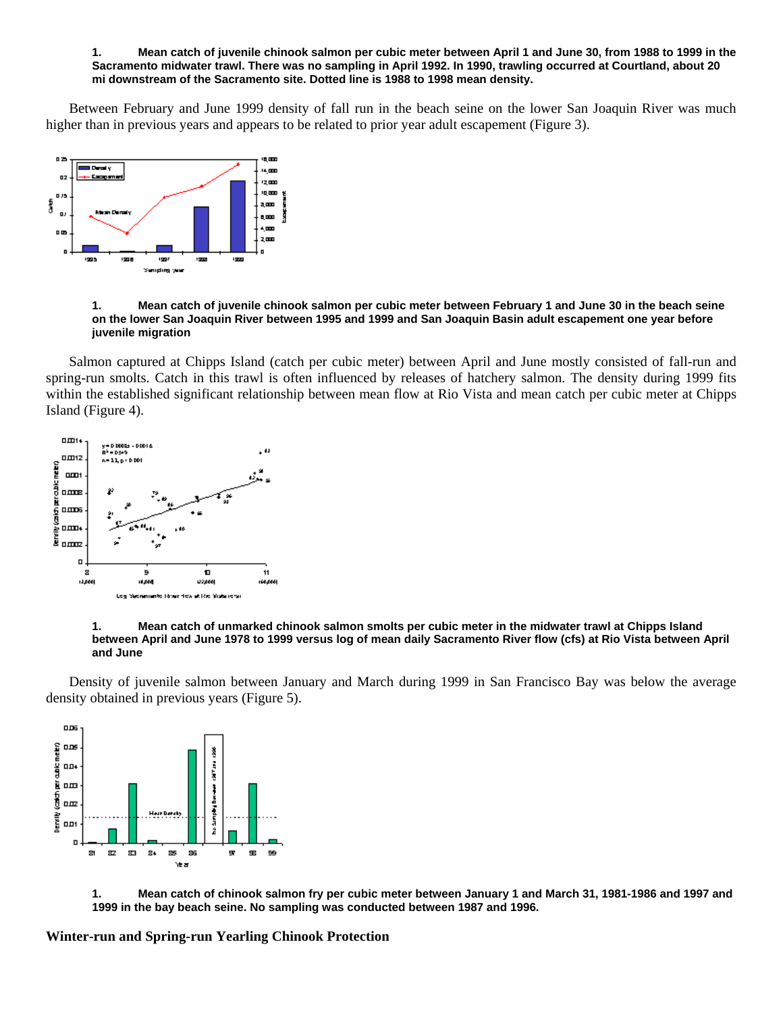### **1. Mean catch of juvenile chinook salmon per cubic meter between April 1 and June 30, from 1988 to 1999 in the Sacramento midwater trawl. There was no sampling in April 1992. In 1990, trawling occurred at Courtland, about 20 mi downstream of the Sacramento site. Dotted line is 1988 to 1998 mean density.**

Between February and June 1999 density of fall run in the beach seine on the lower San Joaquin River was much higher than in previous years and appears to be related to prior year adult escapement (Figure 3).



### **1. Mean catch of juvenile chinook salmon per cubic meter between February 1 and June 30 in the beach seine on the lower San Joaquin River between 1995 and 1999 and San Joaquin Basin adult escapement one year before juvenile migration**

Salmon captured at Chipps Island (catch per cubic meter) between April and June mostly consisted of fall-run and spring-run smolts. Catch in this trawl is often influenced by releases of hatchery salmon. The density during 1999 fits within the established significant relationship between mean flow at Rio Vista and mean catch per cubic meter at Chipps Island (Figure 4).



### **1. Mean catch of unmarked chinook salmon smolts per cubic meter in the midwater trawl at Chipps Island between April and June 1978 to 1999 versus log of mean daily Sacramento River flow (cfs) at Rio Vista between April and June**

Density of juvenile salmon between January and March during 1999 in San Francisco Bay was below the average density obtained in previous years (Figure 5).



**1. Mean catch of chinook salmon fry per cubic meter between January 1 and March 31, 1981-1986 and 1997 and 1999 in the bay beach seine. No sampling was conducted between 1987 and 1996.** 

**Winter-run and Spring-run Yearling Chinook Protection**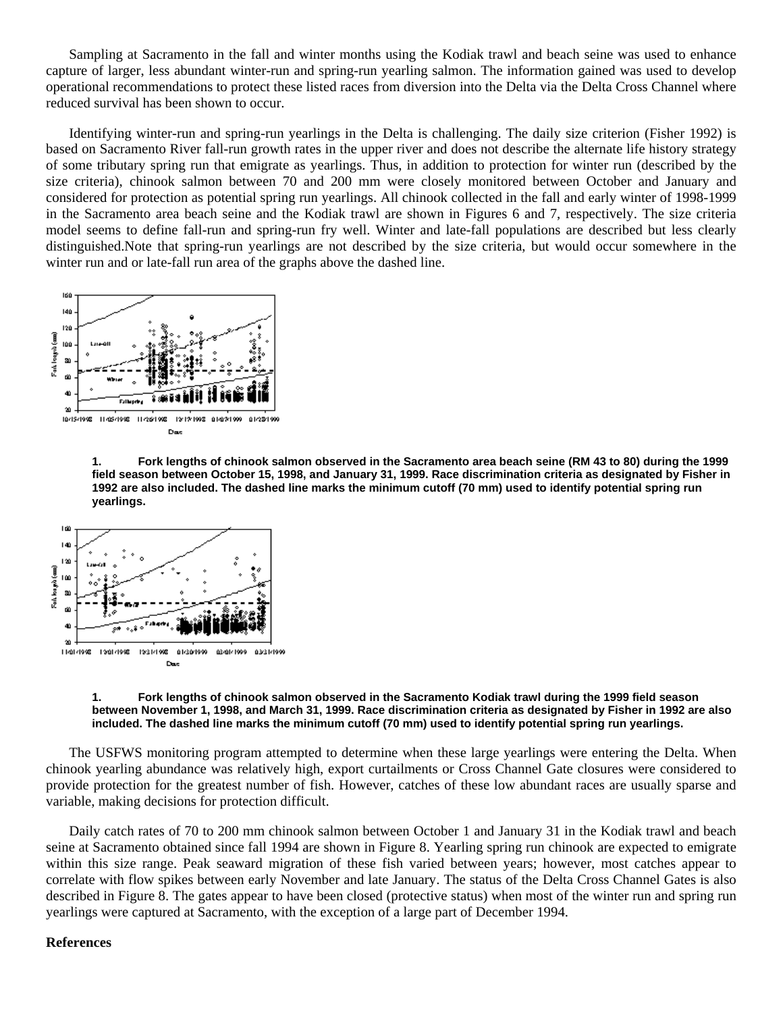Sampling at Sacramento in the fall and winter months using the Kodiak trawl and beach seine was used to enhance capture of larger, less abundant winter-run and spring-run yearling salmon. The information gained was used to develop operational recommendations to protect these listed races from diversion into the Delta via the Delta Cross Channel where reduced survival has been shown to occur.

Identifying winter-run and spring-run yearlings in the Delta is challenging. The daily size criterion (Fisher 1992) is based on Sacramento River fall-run growth rates in the upper river and does not describe the alternate life history strategy of some tributary spring run that emigrate as yearlings. Thus, in addition to protection for winter run (described by the size criteria), chinook salmon between 70 and 200 mm were closely monitored between October and January and considered for protection as potential spring run yearlings. All chinook collected in the fall and early winter of 1998-1999 in the Sacramento area beach seine and the Kodiak trawl are shown in Figures 6 and 7, respectively. The size criteria model seems to define fall-run and spring-run fry well. Winter and late-fall populations are described but less clearly distinguished.Note that spring-run yearlings are not described by the size criteria, but would occur somewhere in the winter run and or late-fall run area of the graphs above the dashed line.



**1. Fork lengths of chinook salmon observed in the Sacramento area beach seine (RM 43 to 80) during the 1999 field season between October 15, 1998, and January 31, 1999. Race discrimination criteria as designated by Fisher in 1992 are also included. The dashed line marks the minimum cutoff (70 mm) used to identify potential spring run yearlings.** 



#### **1. Fork lengths of chinook salmon observed in the Sacramento Kodiak trawl during the 1999 field season between November 1, 1998, and March 31, 1999. Race discrimination criteria as designated by Fisher in 1992 are also included. The dashed line marks the minimum cutoff (70 mm) used to identify potential spring run yearlings.**

The USFWS monitoring program attempted to determine when these large yearlings were entering the Delta. When chinook yearling abundance was relatively high, export curtailments or Cross Channel Gate closures were considered to provide protection for the greatest number of fish. However, catches of these low abundant races are usually sparse and variable, making decisions for protection difficult.

Daily catch rates of 70 to 200 mm chinook salmon between October 1 and January 31 in the Kodiak trawl and beach seine at Sacramento obtained since fall 1994 are shown in Figure 8. Yearling spring run chinook are expected to emigrate within this size range. Peak seaward migration of these fish varied between years; however, most catches appear to correlate with flow spikes between early November and late January. The status of the Delta Cross Channel Gates is also described in Figure 8. The gates appear to have been closed (protective status) when most of the winter run and spring run yearlings were captured at Sacramento, with the exception of a large part of December 1994.

## **References**